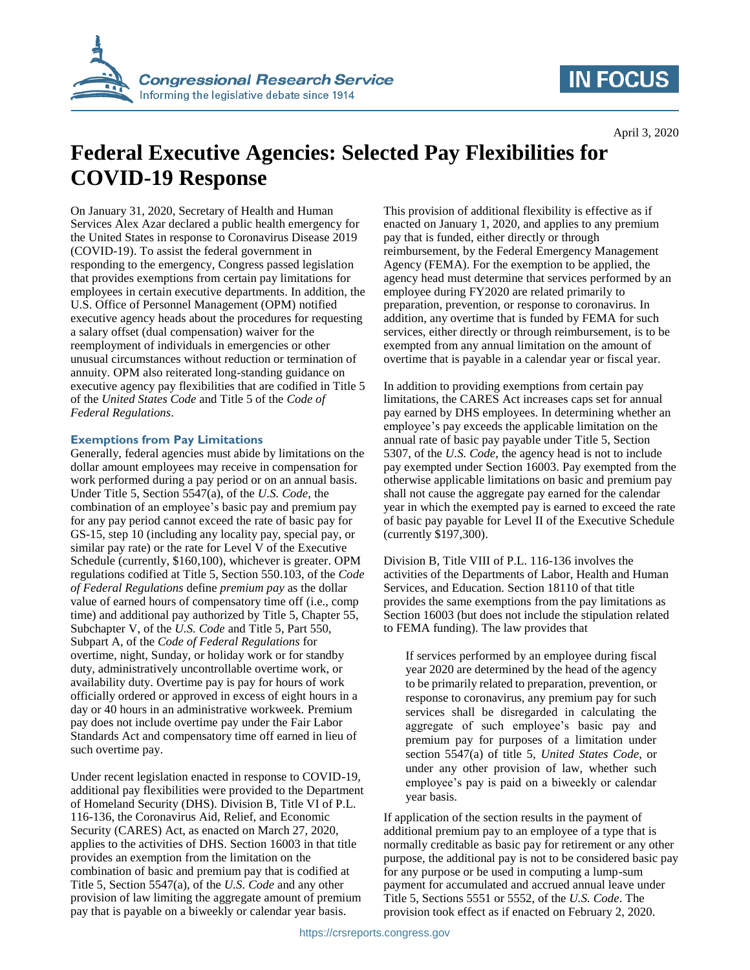

## **IN FOCUS**

# **Federal Executive Agencies: Selected Pay Flexibilities for COVID-19 Response**

On January 31, 2020, Secretary of Health and Human Services Alex Azar declared a public health emergency for the United States in response to Coronavirus Disease 2019 (COVID-19). To assist the federal government in responding to the emergency, Congress passed legislation that provides exemptions from certain pay limitations for employees in certain executive departments. In addition, the U.S. Office of Personnel Management (OPM) notified executive agency heads about the procedures for requesting a salary offset (dual compensation) waiver for the reemployment of individuals in emergencies or other unusual circumstances without reduction or termination of annuity. OPM also reiterated long-standing guidance on executive agency pay flexibilities that are codified in Title 5 of the *United States Code* and Title 5 of the *Code of Federal Regulations*.

#### **Exemptions from Pay Limitations**

Generally, federal agencies must abide by limitations on the dollar amount employees may receive in compensation for work performed during a pay period or on an annual basis. Under Title 5, Section 5547(a), of the *U.S. Code*, the combination of an employee's basic pay and premium pay for any pay period cannot exceed the rate of basic pay for GS-15, step 10 (including any locality pay, special pay, or similar pay rate) or the rate for Level V of the Executive Schedule (currently, \$160,100), whichever is greater. OPM regulations codified at Title 5, Section 550.103, of the *Code of Federal Regulations* define *premium pay* as the dollar value of earned hours of compensatory time off (i.e., comp time) and additional pay authorized by Title 5, Chapter 55, Subchapter V, of the *U.S. Code* and Title 5, Part 550, Subpart A, of the *Code of Federal Regulations* for overtime, night, Sunday, or holiday work or for standby duty, administratively uncontrollable overtime work, or availability duty. Overtime pay is pay for hours of work officially ordered or approved in excess of eight hours in a day or 40 hours in an administrative workweek. Premium pay does not include overtime pay under the Fair Labor Standards Act and compensatory time off earned in lieu of such overtime pay.

Under recent legislation enacted in response to COVID-19, additional pay flexibilities were provided to the Department of Homeland Security (DHS). Division B, Title VI of P.L. 116-136, the Coronavirus Aid, Relief, and Economic Security (CARES) Act, as enacted on March 27, 2020, applies to the activities of DHS. Section 16003 in that title provides an exemption from the limitation on the combination of basic and premium pay that is codified at Title 5, Section 5547(a), of the *U.S. Code* and any other provision of law limiting the aggregate amount of premium pay that is payable on a biweekly or calendar year basis.

This provision of additional flexibility is effective as if enacted on January 1, 2020, and applies to any premium pay that is funded, either directly or through reimbursement, by the Federal Emergency Management Agency (FEMA). For the exemption to be applied, the agency head must determine that services performed by an employee during FY2020 are related primarily to preparation, prevention, or response to coronavirus. In addition, any overtime that is funded by FEMA for such services, either directly or through reimbursement, is to be exempted from any annual limitation on the amount of overtime that is payable in a calendar year or fiscal year.

In addition to providing exemptions from certain pay limitations, the CARES Act increases caps set for annual pay earned by DHS employees. In determining whether an employee's pay exceeds the applicable limitation on the annual rate of basic pay payable under Title 5, Section 5307, of the *U.S. Code*, the agency head is not to include pay exempted under Section 16003. Pay exempted from the otherwise applicable limitations on basic and premium pay shall not cause the aggregate pay earned for the calendar year in which the exempted pay is earned to exceed the rate of basic pay payable for Level II of the Executive Schedule (currently \$197,300).

Division B, Title VIII of P.L. 116-136 involves the activities of the Departments of Labor, Health and Human Services, and Education. Section 18110 of that title provides the same exemptions from the pay limitations as Section 16003 (but does not include the stipulation related to FEMA funding). The law provides that

If services performed by an employee during fiscal year 2020 are determined by the head of the agency to be primarily related to preparation, prevention, or response to coronavirus, any premium pay for such services shall be disregarded in calculating the aggregate of such employee's basic pay and premium pay for purposes of a limitation under section 5547(a) of title 5, *United States Code*, or under any other provision of law, whether such employee's pay is paid on a biweekly or calendar year basis.

If application of the section results in the payment of additional premium pay to an employee of a type that is normally creditable as basic pay for retirement or any other purpose, the additional pay is not to be considered basic pay for any purpose or be used in computing a lump-sum payment for accumulated and accrued annual leave under Title 5, Sections 5551 or 5552, of the *U.S. Code*. The provision took effect as if enacted on February 2, 2020.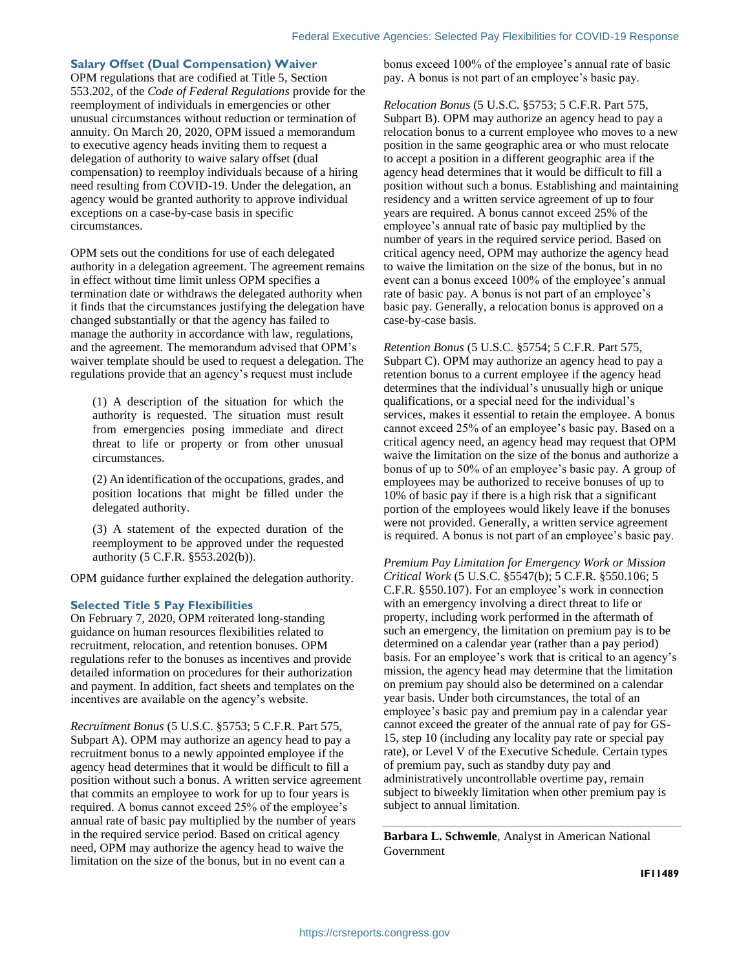### **Salary Offset (Dual Compensation) Waiver**

OPM regulations that are codified at Title 5, Section 553.202, of the *Code of Federal Regulations* provide for the reemployment of individuals in emergencies or other unusual circumstances without reduction or termination of annuity. On March 20, 2020, OPM issued a memorandum to executive agency heads inviting them to request a delegation of authority to waive salary offset (dual compensation) to reemploy individuals because of a hiring need resulting from COVID-19. Under the delegation, an agency would be granted authority to approve individual exceptions on a case-by-case basis in specific circumstances.

OPM sets out the conditions for use of each delegated authority in a delegation agreement. The agreement remains in effect without time limit unless OPM specifies a termination date or withdraws the delegated authority when it finds that the circumstances justifying the delegation have changed substantially or that the agency has failed to manage the authority in accordance with law, regulations, and the agreement. The memorandum advised that OPM's waiver template should be used to request a delegation. The regulations provide that an agency's request must include

(1) A description of the situation for which the authority is requested. The situation must result from emergencies posing immediate and direct threat to life or property or from other unusual circumstances.

(2) An identification of the occupations, grades, and position locations that might be filled under the delegated authority.

(3) A statement of the expected duration of the reemployment to be approved under the requested authority (5 C.F.R. §553.202(b)).

OPM guidance further explained the delegation authority.

#### **Selected Title 5 Pay Flexibilities**

On February 7, 2020, OPM reiterated long-standing guidance on human resources flexibilities related to recruitment, relocation, and retention bonuses. OPM regulations refer to the bonuses as incentives and provide detailed information on procedures for their authorization and payment. In addition, fact sheets and templates on the incentives are available on the agency's website.

*Recruitment Bonus* (5 U.S.C. §5753; 5 C.F.R. Part 575, Subpart A). OPM may authorize an agency head to pay a recruitment bonus to a newly appointed employee if the agency head determines that it would be difficult to fill a position without such a bonus. A written service agreement that commits an employee to work for up to four years is required. A bonus cannot exceed 25% of the employee's annual rate of basic pay multiplied by the number of years in the required service period. Based on critical agency need, OPM may authorize the agency head to waive the limitation on the size of the bonus, but in no event can a

bonus exceed 100% of the employee's annual rate of basic pay. A bonus is not part of an employee's basic pay.

*Relocation Bonus* (5 U.S.C. §5753; 5 C.F.R. Part 575, Subpart B). OPM may authorize an agency head to pay a relocation bonus to a current employee who moves to a new position in the same geographic area or who must relocate to accept a position in a different geographic area if the agency head determines that it would be difficult to fill a position without such a bonus. Establishing and maintaining residency and a written service agreement of up to four years are required. A bonus cannot exceed 25% of the employee's annual rate of basic pay multiplied by the number of years in the required service period. Based on critical agency need, OPM may authorize the agency head to waive the limitation on the size of the bonus, but in no event can a bonus exceed 100% of the employee's annual rate of basic pay. A bonus is not part of an employee's basic pay. Generally, a relocation bonus is approved on a case-by-case basis.

*Retention Bonus* (5 U.S.C. §5754; 5 C.F.R. Part 575, Subpart C). OPM may authorize an agency head to pay a retention bonus to a current employee if the agency head determines that the individual's unusually high or unique qualifications, or a special need for the individual's services, makes it essential to retain the employee. A bonus cannot exceed 25% of an employee's basic pay. Based on a critical agency need, an agency head may request that OPM waive the limitation on the size of the bonus and authorize a bonus of up to 50% of an employee's basic pay. A group of employees may be authorized to receive bonuses of up to 10% of basic pay if there is a high risk that a significant portion of the employees would likely leave if the bonuses were not provided. Generally, a written service agreement is required. A bonus is not part of an employee's basic pay.

*Premium Pay Limitation for Emergency Work or Mission Critical Work* (5 U.S.C. §5547(b); 5 C.F.R. §550.106; 5 C.F.R. §550.107). For an employee's work in connection with an emergency involving a direct threat to life or property, including work performed in the aftermath of such an emergency, the limitation on premium pay is to be determined on a calendar year (rather than a pay period) basis. For an employee's work that is critical to an agency's mission, the agency head may determine that the limitation on premium pay should also be determined on a calendar year basis. Under both circumstances, the total of an employee's basic pay and premium pay in a calendar year cannot exceed the greater of the annual rate of pay for GS-15, step 10 (including any locality pay rate or special pay rate), or Level V of the Executive Schedule. Certain types of premium pay, such as standby duty pay and administratively uncontrollable overtime pay, remain subject to biweekly limitation when other premium pay is subject to annual limitation.

**Barbara L. Schwemle**, Analyst in American National Government